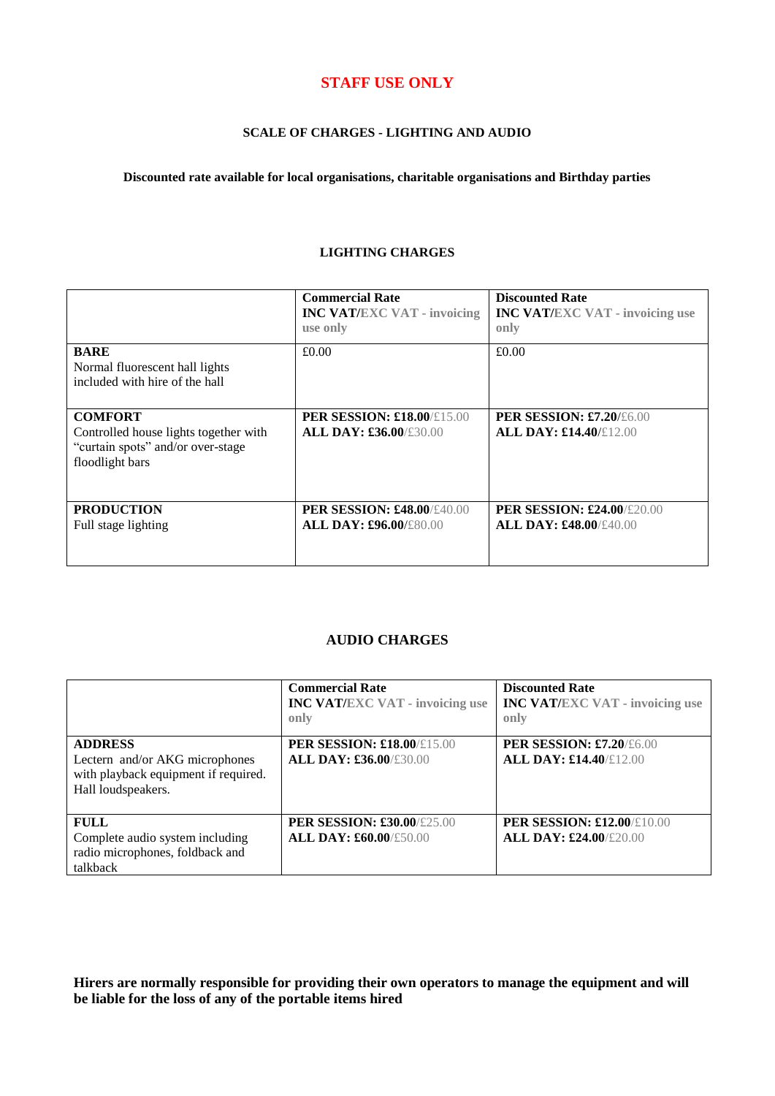# **STAFF USE ONLY**

## **SCALE OF CHARGES - LIGHTING AND AUDIO**

**Discounted rate available for local organisations, charitable organisations and Birthday parties**

### **LIGHTING CHARGES**

|                                                                                                                 | <b>Commercial Rate</b><br><b>INC VAT/EXC VAT - invoicing</b><br>use only | <b>Discounted Rate</b><br><b>INC VAT/EXC VAT - invoicing use</b><br>only |
|-----------------------------------------------------------------------------------------------------------------|--------------------------------------------------------------------------|--------------------------------------------------------------------------|
| <b>BARE</b><br>Normal fluorescent hall lights<br>included with hire of the hall                                 | £0.00                                                                    | £0.00                                                                    |
| <b>COMFORT</b><br>Controlled house lights together with<br>"curtain spots" and/or over-stage<br>floodlight bars | <b>PER SESSION: £18.00/£15.00</b><br><b>ALL DAY: £36.00/£30.00</b>       | <b>PER SESSION: £7.20/£6.00</b><br><b>ALL DAY: £14.40/£12.00</b>         |
| <b>PRODUCTION</b><br>Full stage lighting                                                                        | <b>PER SESSION: £48.00/£40.00</b><br><b>ALL DAY: £96.00/£80.00</b>       | <b>PER SESSION: £24.00/£20.00</b><br><b>ALL DAY: £48.00/£40.00</b>       |

## **AUDIO CHARGES**

|                                                                                                                | <b>Commercial Rate</b><br><b>INC VAT/EXC VAT - invoicing use</b><br>only | <b>Discounted Rate</b><br><b>INC VAT/EXC VAT - invoicing use</b><br>only |
|----------------------------------------------------------------------------------------------------------------|--------------------------------------------------------------------------|--------------------------------------------------------------------------|
| <b>ADDRESS</b><br>Lectern and/or AKG microphones<br>with playback equipment if required.<br>Hall loudspeakers. | <b>PER SESSION: £18.00/£15.00</b><br><b>ALL DAY: £36.00/£30.00</b>       | <b>PER SESSION: £7.20/£6.00</b><br><b>ALL DAY: £14.40/£12.00</b>         |
| <b>FULL</b><br>Complete audio system including<br>radio microphones, foldback and<br>talkback                  | <b>PER SESSION: £30.00/£25.00</b><br><b>ALL DAY: £60.00/£50.00</b>       | <b>PER SESSION: £12.00/£10.00</b><br><b>ALL DAY: £24.00/£20.00</b>       |

**Hirers are normally responsible for providing their own operators to manage the equipment and will be liable for the loss of any of the portable items hired**